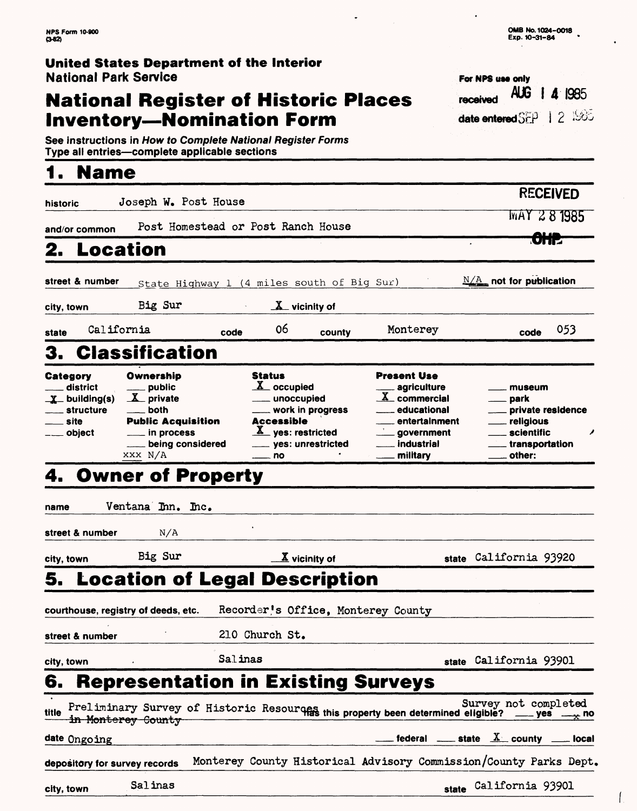# **National Register of Historic Places Inventory—Nomination Form date enteredSEP 1 2 886**

| Exp. 10-31-84 |  |  |
|---------------|--|--|
|               |  |  |
|               |  |  |
|               |  |  |

received AUG | 4 1985

For NPS use only

**OMB No. 1024-0018** 

**See instructions in How to Complete National Register Forms Type all entries — complete applicable sections**

# **1 . Name**

| historic                                                                                        | Joseph W. Post House                                                                                                    |         |                                                                                                                                                     |                             |                                                                                                                                                                            |                                                                                                         | <b>RECEIVED</b>              |
|-------------------------------------------------------------------------------------------------|-------------------------------------------------------------------------------------------------------------------------|---------|-----------------------------------------------------------------------------------------------------------------------------------------------------|-----------------------------|----------------------------------------------------------------------------------------------------------------------------------------------------------------------------|---------------------------------------------------------------------------------------------------------|------------------------------|
| and/or common                                                                                   | Post Homestead or Post Ranch House                                                                                      |         |                                                                                                                                                     |                             |                                                                                                                                                                            | MAY 281985                                                                                              |                              |
| Location<br>2.                                                                                  |                                                                                                                         |         |                                                                                                                                                     |                             |                                                                                                                                                                            | <del>OHP</del>                                                                                          |                              |
| street & number                                                                                 | State Highway 1 (4 miles south of Big Sur)                                                                              |         |                                                                                                                                                     |                             |                                                                                                                                                                            | $\frac{N/A}{N}$ not for publication                                                                     |                              |
| city, town                                                                                      | Big Sur                                                                                                                 |         | $\underline{\mathbf{X}}$ vicinity of                                                                                                                |                             |                                                                                                                                                                            |                                                                                                         |                              |
| California<br>state                                                                             |                                                                                                                         | code    | 06                                                                                                                                                  | county                      | Monterey                                                                                                                                                                   | code                                                                                                    | 053                          |
| З.                                                                                              | <b>Classification</b>                                                                                                   |         |                                                                                                                                                     |                             |                                                                                                                                                                            |                                                                                                         |                              |
| Category<br>district<br>$\underline{\mathbf{X}}$ building(s)<br>___ structure<br>site<br>object | Ownership<br>$\_$ public<br>X private<br>both<br><b>Public Acquisition</b><br>in process<br>being considered<br>XXX N/A |         | <b>Status</b><br>$\underline{X}$ occupied<br>___ unoccupied<br>work in progress<br>Accessible<br>X yes: restricted<br>___ yes: unrestricted<br>— no |                             | <b>Present Use</b><br><sub>—</sub> agriculture<br>$\underline{X}$ commercial<br>educational<br><sub>—</sub> entertainment<br>$\equiv$ government<br>industrial<br>military | museum<br>park<br><sub>-</sub> private residence<br>religious<br>scientific<br>transportation<br>other: |                              |
| name                                                                                            | Ventana Inn. Inc.                                                                                                       |         |                                                                                                                                                     |                             |                                                                                                                                                                            |                                                                                                         |                              |
| street & number                                                                                 | N/A                                                                                                                     |         |                                                                                                                                                     |                             |                                                                                                                                                                            |                                                                                                         |                              |
| city, town                                                                                      | Big Sur                                                                                                                 |         |                                                                                                                                                     | $\underline{X}$ vicinity of |                                                                                                                                                                            | state California 93920                                                                                  |                              |
| 5. Location of Legal Description                                                                |                                                                                                                         |         |                                                                                                                                                     |                             |                                                                                                                                                                            |                                                                                                         |                              |
| courthouse, registry of deeds, etc.                                                             |                                                                                                                         |         |                                                                                                                                                     |                             | Recorder's Office, Monterey County                                                                                                                                         |                                                                                                         |                              |
| street & number                                                                                 |                                                                                                                         |         | 210 Church St.                                                                                                                                      |                             |                                                                                                                                                                            |                                                                                                         |                              |
| city, town                                                                                      |                                                                                                                         | Salinas |                                                                                                                                                     |                             |                                                                                                                                                                            | state California 93901                                                                                  |                              |
| 6.                                                                                              | <b>Representation in Existing Surveys</b>                                                                               |         |                                                                                                                                                     |                             |                                                                                                                                                                            |                                                                                                         |                              |
| title<br>in Monterey County                                                                     |                                                                                                                         |         |                                                                                                                                                     |                             | Preliminary Survey of Historic Resources this property been determined eligible?                                                                                           | _ yes   _                                                                                               | Survey not completed<br>* uo |
| date Ongoing                                                                                    |                                                                                                                         |         |                                                                                                                                                     |                             | federal ______ state $X$ county ______ local                                                                                                                               |                                                                                                         |                              |
| depository for survey records                                                                   |                                                                                                                         |         |                                                                                                                                                     |                             | Monterey County Historical Advisory Commission/County Parks Dept.                                                                                                          |                                                                                                         |                              |
| city, town                                                                                      | Salinas                                                                                                                 |         |                                                                                                                                                     |                             |                                                                                                                                                                            | state California 93901                                                                                  |                              |

 $\ddot{\phantom{0}}$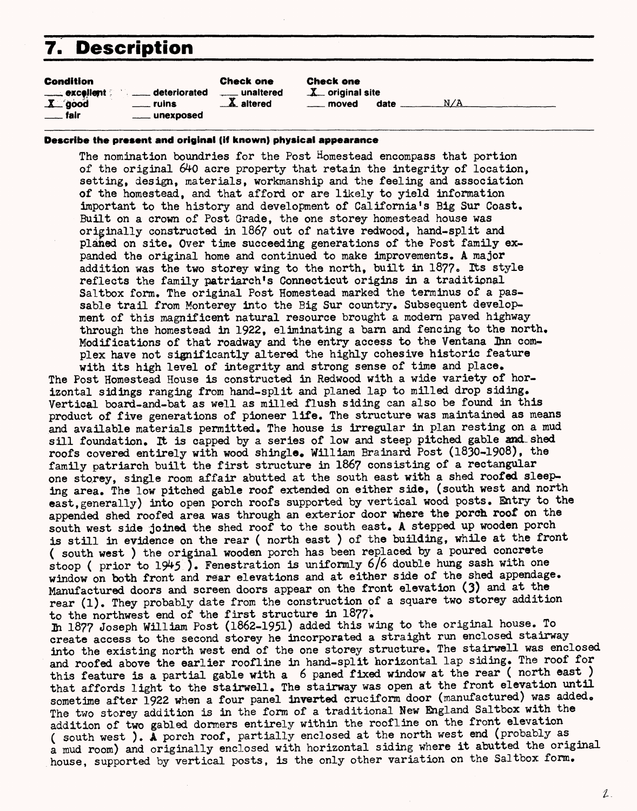# **7. Description**

| <b>Condition</b><br><b>Check one</b><br>excellent and deteriorated<br>unaltered<br>$X$ good<br>$\mathbf{A}$ altered<br>$\equiv$ ruins<br>$\equiv$ fair<br><u>_</u> ___ unexposed | Check one<br>$X$ original site<br>N/A<br><u>_</u> __ moved<br>date |
|----------------------------------------------------------------------------------------------------------------------------------------------------------------------------------|--------------------------------------------------------------------|
|----------------------------------------------------------------------------------------------------------------------------------------------------------------------------------|--------------------------------------------------------------------|

#### **Describe the present and original (if known) physical appearance**

The nomination boundries for the Post Homestead encompass that portion of the original 640 acre property that retain the integrity of location, setting, design, materials, workmanship and the feeling and association of the homestead, and that afford or are likely to yield information important to the history and development of California's Big Sur Coast. Built on a crown of Post Grade, the one storey homestead house was originally constructed in 1867 out of native redwood, hand-split and planed on site. Over time succeeding generations of the Post family expanded the original home and continued to make improvements. A major addition was the two storey wing to the north, built in 1877. Its style reflects the family patriarch's Connecticut origins in a traditional Saltbox form. The original Post Homestead marked the terminus of a passable trail from Monterey into the Big Sur country. Subsequent development of this magnificent natural resource brought a modern paved highway through the homestead in 1922, eliminating a barn and fencing to the north. Modifications of that roadway and the entry access to the Ventana 2hn complex have not significantly altered the highly cohesive historic feature

with its high level of integrity and strong sense of time and place. The Post Homestead House is constructed in Redwood with a wide variety of horizontal sidings ranging from hand-split and planed lap to milled drop siding. Vertical board-and-bat as well as milled flush siding can also be found in this product of five generations of pioneer life. The structure was maintained as means and available materials permitted. The house is irregular in plan resting on a mud sill foundation. It is capped by a series of low and steep pitched gable and shed roofs covered entirely with wood shingle. William Brainard Post (1830-1908), the family patriarch built the first structure in 1867 consisting of a rectangular one storey, single room affair abutted at the south east with a shed roofed sleeping area. The low pitched gable roof extended on either side, (south west and north east,generally) into open porch roofs supported by vertical wood posts. Entry to the appended shed roofed area was through an exterior door where the porch root on the south west side joined the shed roof to the south east. A stepped up wooden porch is still in evidence on the rear ( north east ) of the building, while at the front ( south west ) the original wooden porch has been replaced by a poured concrete stoop ( prior to  $1945$  ). Fenestration is uniformly 6/6 double hung sash with one window on both front and rear elevations and at either side of the shed appendage. Manufactured doors and screen doors appear on the front elevation (3) and at the rear (1). They probably date from the construction of a square two storey addition to the northwest end of the first structure in 1877.

In 1877 Joseph William Post (1862-1951) added this wing to the original house. To create access to the second storey he incorporated a straight run enclosed stairway into the existing north west end of the one storey structure. The stairwell was enclosed and roofed above the earlier roofline in hand-split horizontal lap siding. The roof for this feature is a partial gable with a 6 paned fixed window at the rear ( north east ) that affords light to the stairwell. The stairway was open at the front elevation until sometime after 1922 when a four panel inverted cruciform door (manufactured) was added. The two storey addition is in the form of a traditional New England Saltbox with the addition of two gabled dormers entirely within the roofline on the front elevation ( south west ). A porch roof, partially enclosed at the north west end (probably as a mud room) and originally enclosed with horizontal siding where it abutted the original house, supported by vertical posts, is the only other variation on the Saltbox form.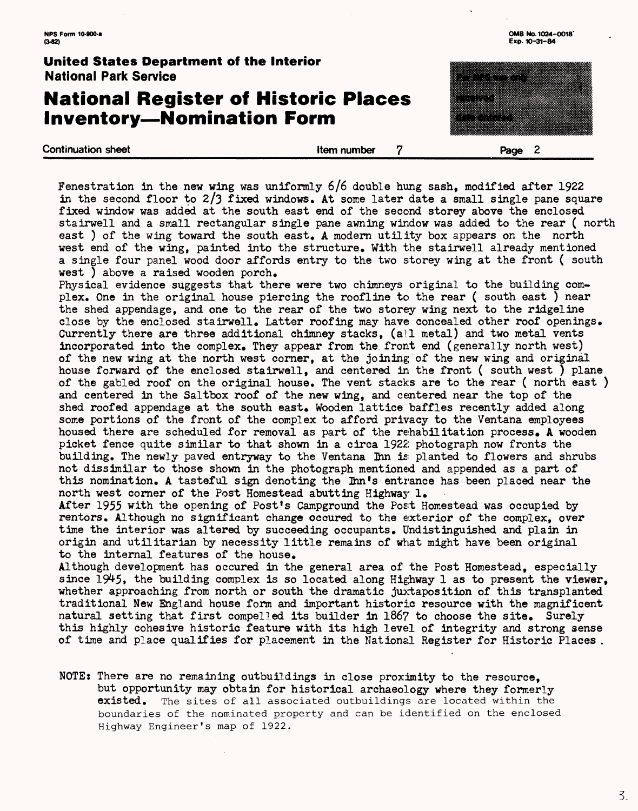## **National Register of Historic Places Inventory—Nomination Form**

Continuation sheet **Exercise Exercise Security Security Security Security Security Security Security Security Security Security Security Security Security Security Security Security Security Security Security Security Secu** 

Fenestration in the new wing was uniformly 6/6 double hung sash, modified after 1922 in the second floor to  $2/3$  fixed windows. At some later date a small single pane square fixed window was added at the south east end of the second storey above the enclosed stairwell and a small rectangular single pane awning window was added to the rear ( north east ) of the wing toward the south east, A modern utility box appears on the north west end of the wing, painted into the structure. With the stairwell already mentioned a single four panel wood door affords entry to the two storey wing at the front ( south west ) above a raised wooden porch.

Physical evidence suggests that there were two chimneys original to the building complex. One in the original house piercing the roofline to the rear ( south east ) near the shed appendage, and one to the rear of the two storey wing next to the ridgeline close by the enclosed stairwell. Latter roofing may have concealed other roof openings. Currently there are three additional chimney stacks, (all metal) and two metal vents incorporated into the complex. They appear from the front end (generally north west) of the new wing at the north west corner, at the joining of the new wing and original house forward of the enclosed stairwell, and centered in the front ( south west ) plane of the gabled roof on the original house. The vent stacks are to the rear ( north east ) and centered in the Saltbox roof of the new wing, and centered near the top of the shed roofed appendage at the south east. Wooden lattice baffles recently added along some portions of the front of the complex to afford privacy to the Yentana employees housed there are scheduled for removal as part of the rehabilitation process, A wooden picket fence quite similar to that shown in a circa 1922 photograph now fronts the building. The newly paved entryway to the Ventana Ihn is planted to flowers and shrubs not dissimilar to those shown in the photograph mentioned and appended as a part of this nomination. A tasteful sign denoting the Inn's entrance has been placed near the north west corner of the Post Homestead abutting Highway 1,

After 1955 with the opening of Post's Campground the Post Homestead was occupied by renters. Although no significant change occured to the exterior of the complex, over time the interior was altered by succeeding occupants. Undistinguished and plain in origin and utilitarian by necessity little remains of what might have been original to the internal features of the house.

Although development has occured in the general area of the Post Homestead, especially since 1945, the building complex is so located along Highway 1 as to present the viewer, whether approaching from north or south the dramatic juxtaposition of this transplanted traditional New England house form and important historic resource with the magnificent natural setting that first compelled its builder in 1867 to choose the site. Surely this highly cohesive historic feature with its high level of integrity and strong sense of time and place qualifies for placement in the National Register for Historic Places .

NOTEs There are no remaining outbuildings in close proximity to the resource, but opportunity may obtain for historical archaeology where they formerly **existed.** The sites of all associated outbuildings are located within the boundaries of the nominated property and can be identified on the enclosed Highway Engineer's map of 1922.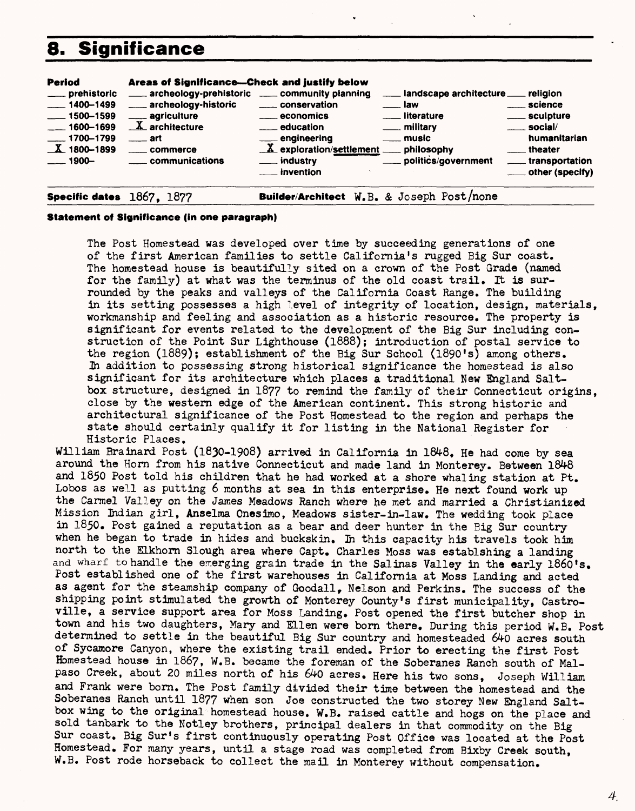# **8. Significance**

| <b>Period</b><br>____ prehistoric<br>$\frac{1}{2}$ 1400-1499<br>$\frac{1}{2}$ 1500-1599<br>$\frac{1}{2}$ 1600-1699<br>$-1700 - 1799$<br>$X$ 1800-1899<br>$1900 -$ | Areas of Significance---Check and justify below<br>archeology-prehistoric _____ community planning<br>archeology-historic<br>_____ agriculture<br>$\underline{X}$ architecture<br>$\equiv$ art<br>____ commerce<br><u>___</u> communications | _____ conservation<br><u>__</u> economics<br><u>__</u> ___ education<br>engineering ____ music<br>X exploration/settlement ____ philosophy<br>___ industry | landscape architecture  religion<br>. Iaw<br><u>_</u> __ literature<br>____ military<br>politics/government__ | <u>__</u> __ science<br>_____ sculpture<br>$\equiv$ social/<br>humanitarian<br>theater<br>_____ transportation |
|-------------------------------------------------------------------------------------------------------------------------------------------------------------------|----------------------------------------------------------------------------------------------------------------------------------------------------------------------------------------------------------------------------------------------|------------------------------------------------------------------------------------------------------------------------------------------------------------|---------------------------------------------------------------------------------------------------------------|----------------------------------------------------------------------------------------------------------------|
|                                                                                                                                                                   |                                                                                                                                                                                                                                              | $\overline{\phantom{a}}$ invention                                                                                                                         |                                                                                                               | ____ other (specify)                                                                                           |

**Specific dates** 1867, 1877 **Builder/Architect W.B. & Joseph Post/none** 

#### **Statement of Significance (in one paragraph)**

The Post Homestead was developed over time by succeeding generations of one of the first American families to settle California's rugged Big Sur coast. The homestead house is beautifully sited on a crown of the Post Grade (named for the family) at what was the terminus of the old coast trail. It is surrounded by the peaks and valleys of the California Coast Range. The building in its setting possesses a high level of integrity of location, design, materials, workmanship and feeling and association as a historic resource. The property is significant for events related to the development of the Big Sur including construction of the Point Sur Lighthouse (1888); introduction of postal service to the region (1889); establishment of the Big Sur School (1890's) among others. In addition to possessing strong historical significance the homestead is also significant for its architecture which places a traditional New England Saltbox structure, designed in 187? to remind the family of their Connecticut origins, close by the western edge of the American continent. This strong historic and architectural significance of the Post Homestead to the region and perhaps the state should certainly qualify it for listing in the National Register for Historic Places.

William Brainard Post (1830-1908) arrived in California in 1848, He had come by sea around the Horn from his native Connecticut and made land in Monterey. Between 1848 and 1850 Post told his children that he had worked at a shore whaling station at Pt. Lobos as well as putting 6 months at sea in this enterprise. He next found work up the Carmel Valley on the James Meadows Ranch where he met and married a Christianized Mission Indian girl, Anselma Onesimo, Meadows sister-in-law. The wedding took place in 1850. Post gained a reputation as a bear and deer hunter in the Big Sur country when he began to trade in hides and buckskin. In this capacity his travels took him north to the ELkhorn Slough area where Capt. Charles Moss was establshing a landing and wharf to handle the emerging grain trade in the Salinas Valley in the early 1860's. Post established one of the first warehouses in California at Moss Landing and acted as agent for the steamship company of Goodall, Nelson and Perkins. The success of the shipping point stimulated the growth of Monterey County's first municipality, Castroville, a service support area for Moss Landing. Post opened the first butcher shop in town and his two daughters, Mary and ELIen were bom there. During this period W.B. Post determined to settle in the beautiful Big Sur country and homesteaded 640 acres south of Sycamore Canyon, where the existing trail ended. Prior to erecting the first Post Homestead house in 186?, W.B. became the foreman of the Soberanes Ranch south of Malpaso Creek, about 20 miles north of his 640 acres. Here his two sons, Joseph William and Frank were born. The Post family divided their time between the homestead and the Soberanes Ranch until 1877 when son Joe constructed the two storey New England Saltbox wing to the original homestead house. W.B. raised cattle and hogs on the place and sold tanbark to the Notley brothers, principal dealers in that commodity on the Big Sur coast. Big Sur's first continuously operating Post Office was located at the Post Homestead. For many years, until a stage road was completed from Bixby Creek south, W.B. Post rode horseback to collect the mail in Monterey without compensation.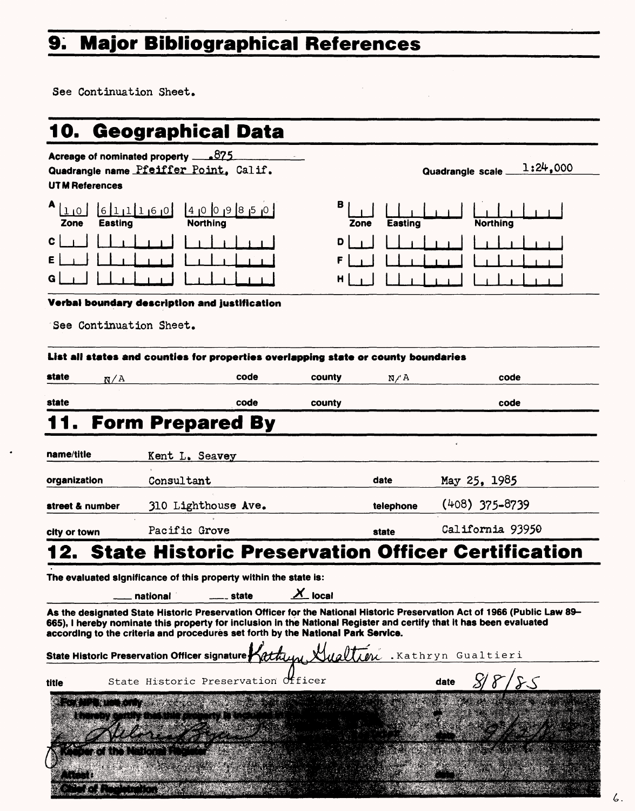# **9. Major Bibliographical References**

See Continuation Sheet.

 $\ddot{\phantom{1}}$ 

|                         | 10. Geographical Data                                                              |         |                    |           |                                                                                                                                                                                                                                                 |
|-------------------------|------------------------------------------------------------------------------------|---------|--------------------|-----------|-------------------------------------------------------------------------------------------------------------------------------------------------------------------------------------------------------------------------------------------------|
| <b>UTM References</b>   | Acreage of nominated property $875$<br>Quadrangle name Pfeiffer Point, Calif.      |         |                    |           | 1:24,000<br>Quadrangle scale.                                                                                                                                                                                                                   |
| Easting<br>Zone         | 6111160<br><b>Northing</b>                                                         | 4009830 | в<br>Zone          | Easting   | <b>Northing</b>                                                                                                                                                                                                                                 |
| c                       |                                                                                    |         | D<br>н             |           |                                                                                                                                                                                                                                                 |
| See Continuation Sheet. | Verbal boundary description and justification                                      |         |                    |           |                                                                                                                                                                                                                                                 |
| state<br>N/A            | List all states and counties for properties overlapping state or county boundaries | code    | county             | N/A       | code                                                                                                                                                                                                                                            |
|                         |                                                                                    |         |                    |           |                                                                                                                                                                                                                                                 |
| state                   |                                                                                    | code    | county             |           | code                                                                                                                                                                                                                                            |
| I 1 .                   | <b>Form Prepared By</b>                                                            |         |                    |           |                                                                                                                                                                                                                                                 |
| name/title              | Kent L. Seavey                                                                     |         |                    |           |                                                                                                                                                                                                                                                 |
| organization            | Consultant                                                                         |         |                    | date      | May 25, 1985                                                                                                                                                                                                                                    |
| street & number         | 310 Lighthouse Ave.                                                                |         |                    | telephone | $(408)$ 375-8739                                                                                                                                                                                                                                |
| city or town            | Pacific Grove                                                                      |         |                    | state     | California 93950                                                                                                                                                                                                                                |
|                         |                                                                                    |         |                    |           | <b>State Historic Preservation Officer Certification</b>                                                                                                                                                                                        |
|                         | The evaluated significance of this property within the state is:                   |         |                    |           |                                                                                                                                                                                                                                                 |
|                         | national                                                                           | state   | $X_{\text{local}}$ |           |                                                                                                                                                                                                                                                 |
|                         | according to the criteria and procedures set forth by the National Park Service.   |         |                    |           | As the designated State Historic Preservation Officer for the National Historic Preservation Act of 1966 (Public Law 89–<br>665), I hereby nominate this property for inclusion in the National Register and certify that it has been evaluated |
|                         | State Historic Preservation Officer signature                                      |         |                    |           | Lathun Hualtien . Kathryn Gualtieri                                                                                                                                                                                                             |
| title                   | State Historic Preservation Officer                                                |         |                    |           | date                                                                                                                                                                                                                                            |
| <b>STALL BELLIOTER</b>  |                                                                                    |         |                    |           |                                                                                                                                                                                                                                                 |
|                         | f Risi                                                                             |         |                    |           |                                                                                                                                                                                                                                                 |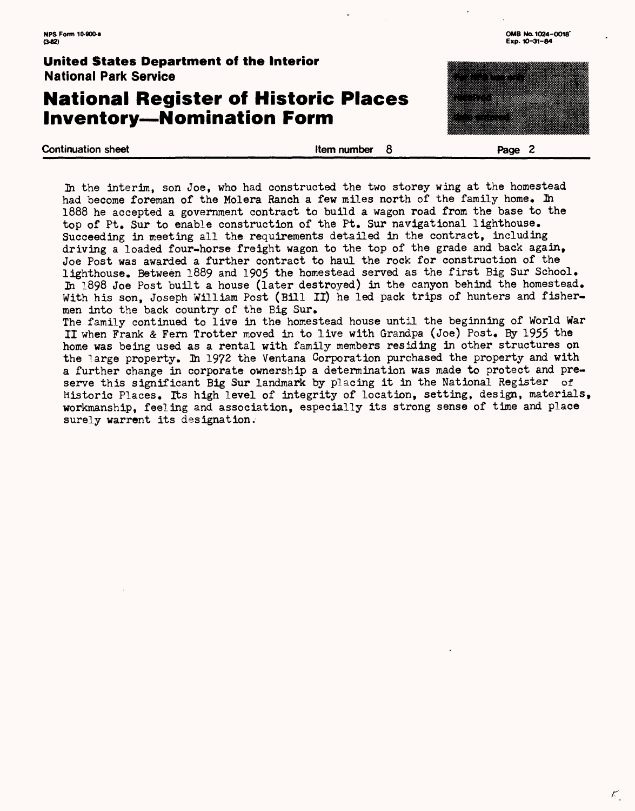## **National Register of Historic Places Inventory—Nomination Form**

**Continuation sheet Continuation sheet Continuation sheet Regular Section 2** 



К,

In the interim, son Joe, who had constructed the two storey wing at the homestead had become foreman of the Molera Ranch a few miles north of the family home. In 1888 he accepted a government contract to build a wagon road from the base to the top of Pt. Sur to enable construction of the Pt. Sur navigational lighthouse. Succeeding in meeting all the requirements detailed in the contract, including driving a loaded four-horse freight wagon to the top of the grade and back again, Joe Post was awarded a further contract to haul the rock for construction of the lighthouse. Between 1889 and 1905 the homestead served as the first Big Sur School. Jh 1898 Joe Post built a house (later destroyed) in the canyon behind the homestead. With his son, Joseph William Post (Bill II) he led pack trips of hunters and fishermen into the back country of the Big Sur.

The family continued to live in the homestead house until the beginning of World War II when Frank & Fern Trotter moved in to live with Grandpa (Joe) Post. Ey 1955 "the home was being used as a rental with family members residing in other structures on the large property. In 1972 the Ventana Corporation purchased the property and with a further change in corporate ownership a determination was made to protect and preserve this significant Big Sur landmark by placing it in the National Register of Historic Places. Its high level of integrity of location, setting, design, materials, workmanship, feeling and association, especially its strong sense of time and place surely warrent its designation.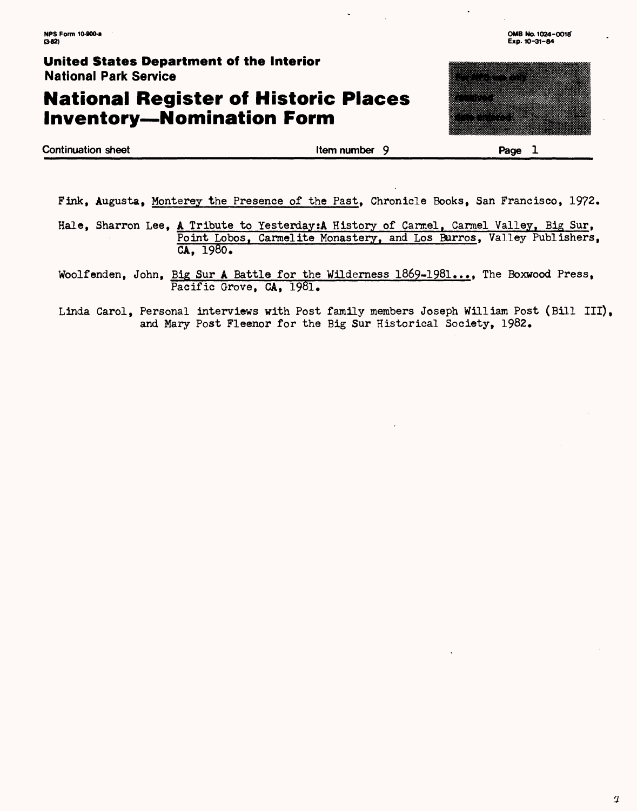# **National Register of Historic Places Inventory—Nomination Form**



**Continuation sheet Continuation sheet Continuation sheet Continuation sheet Continuation sheet Continuation sheet L** 

Fink, Augusta, Monterey the Presence of the Past, Chronicle Books, San Francisco, 1972.

Hale, Sharron Lee, A Tribute to Yesterday: A History of Carmel, Carmel Valley, Big Sur, Point Lobos, Carmelite Monastery, and Los Burros, Valley Publishers, CA, 1980.

Woolfenden, John, Big Sur A Battle for the Wilderness 1869-1981..•, The Boxwood Press, Pacific Grove, CA, 1981.

Linda Carol, Personal interviews with Post family members Joseph William Post (Bill III), and Mary Post Fleenor for the Big Sur Historical Society, 1982.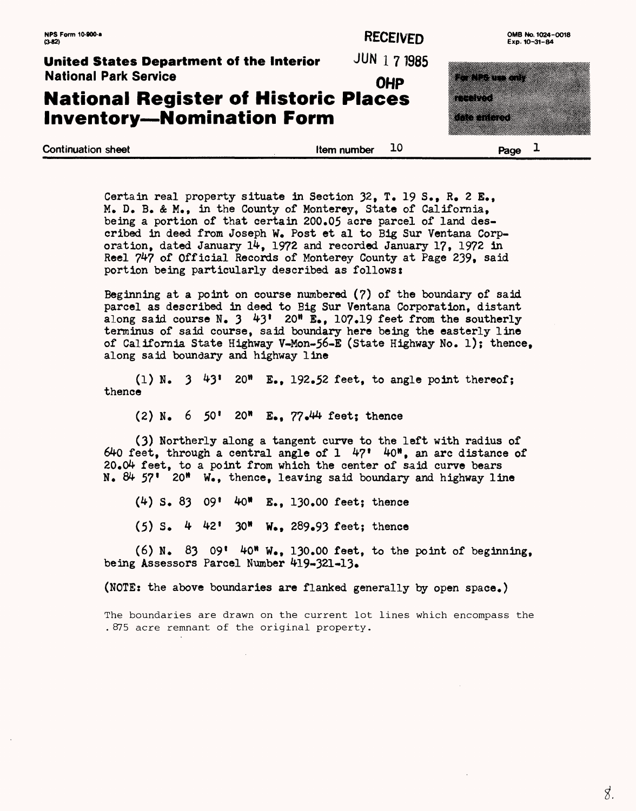### **NPS Form 10-900-a** OMB No. 1024-0018

**United States Department of the Interior**  JUN 1 7 1985 National Park Service

## **National Register of Historic Places Inventory — Nomination Form**

| United States Department of the Interior    | JUN 1 7 1985 |                         |
|---------------------------------------------|--------------|-------------------------|
| <b>National Park Service</b>                | <b>OHP</b>   | <u> Manazarta da Ma</u> |
| <b>National Register of Historic Places</b> |              | <u> King Mana</u>       |
| <b>Inventory-Nomination Form</b>            |              | <b>Alba mareje</b>      |
|                                             |              |                         |
| <b>Continuation sheet</b>                   | Item number  | Page $\perp$            |

| Certain real property situate in Section 32, T. 19 S., R. 2 E.,   |
|-------------------------------------------------------------------|
| M. D. B. & M., in the County of Monterey, State of California,    |
| being a portion of that certain 200.05 acre parcel of land des-   |
| cribed in deed from Joseph W. Post et al to Big Sur Ventana Corp- |
| oration, dated January 14, 1972 and recorded January 17, 1972 in  |
| Reel 747 of Official Records of Monterey County at Page 239, said |
| portion being particularly described as follows:                  |

Beginning at a point on course numbered (7) of the boundary of said parcel as described in deed to Big Sur Ventana Corporation, distant along said course  $N_e$ ,  $3\quad 43'$   $20''$   $\mathbb{E}_e$ , 107.19 feet from the southerly terminus of said course, said boundary here being the easterly line of California State Highway V-Mon-56-E (State Highway No. 1); thence, along said boundary and highway line

(1) N.  $3\quad 43$ <sup>1</sup> 20<sup>t</sup> E., 192.52 feet, to angle point thereof; thence

 $(2)$  N.  $6$  50' 20" E., 77.44 feet; thence

(3) Northerly along a tangent curve to the left with radius of 640 feet, through a central angle of  $1 \quad 47' \quad 40''$ , an arc distance of  $20.04$  feet, to a point from which the center of said curve bears N.  $84$  57' 20" W., thence, leaving said boundary and highway line

 $(4)$  S. 83 09'  $40^*$  E., 130.00 feet; thence

 $(5)$  S. 4 42' 30" W., 289.93 feet; thence

 $(6)$  N. 83 09' 40" W., 130.00 feet, to the point of beginning, being Assessors Parcel Number 419-321-13.

(NOTE: the above boundaries are flanked generally by open space.)

The boundaries are drawn on the current lot lines which encompass the . 875 acre remnant of the original property.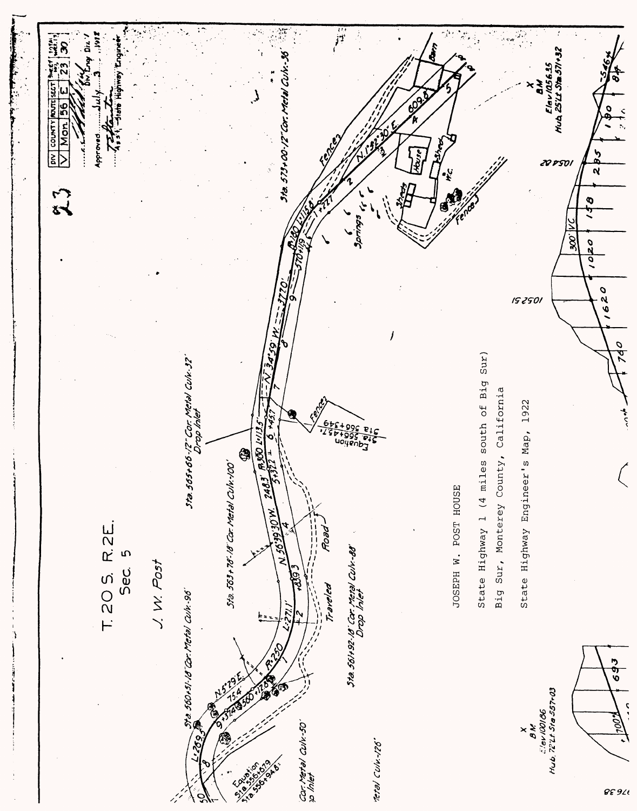